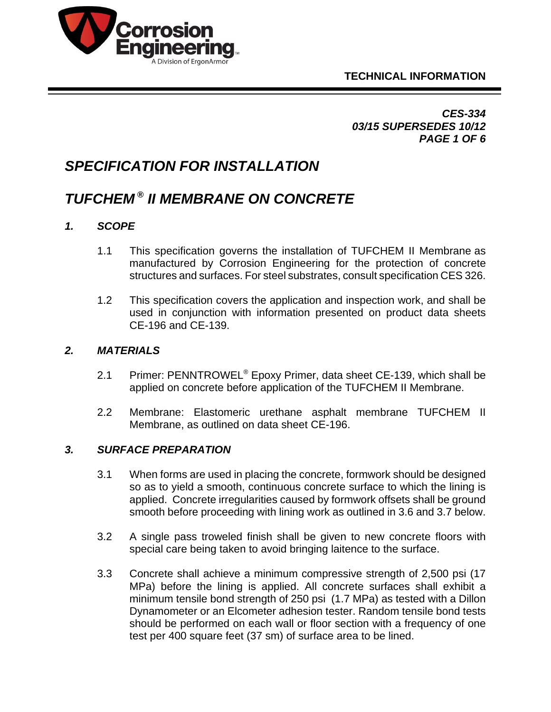



*CES-334 03/15 SUPERSEDES 10/12 PAGE 1 OF 6*

# *SPECIFICATION FOR INSTALLATION*

# *TUFCHEM ® II MEMBRANE ON CONCRETE*

# *1. SCOPE*

- 1.1 This specification governs the installation of TUFCHEM II Membrane as manufactured by Corrosion Engineering for the protection of concrete structures and surfaces. For steel substrates, consult specification CES 326.
- 1.2 This specification covers the application and inspection work, and shall be used in conjunction with information presented on product data sheets CE-196 and CE-139.

#### *2. MATERIALS*

- 2.1 Primer: PENNTROWEL<sup>®</sup> Epoxy Primer, data sheet CE-139, which shall be applied on concrete before application of the TUFCHEM II Membrane.
- 2.2 Membrane: Elastomeric urethane asphalt membrane TUFCHEM II Membrane, as outlined on data sheet CE-196.

#### *3. SURFACE PREPARATION*

- 3.1 When forms are used in placing the concrete, formwork should be designed so as to yield a smooth, continuous concrete surface to which the lining is applied. Concrete irregularities caused by formwork offsets shall be ground smooth before proceeding with lining work as outlined in 3.6 and 3.7 below.
- 3.2 A single pass troweled finish shall be given to new concrete floors with special care being taken to avoid bringing laitence to the surface.
- 3.3 Concrete shall achieve a minimum compressive strength of 2,500 psi (17 MPa) before the lining is applied. All concrete surfaces shall exhibit a minimum tensile bond strength of 250 psi (1.7 MPa) as tested with a Dillon Dynamometer or an Elcometer adhesion tester. Random tensile bond tests should be performed on each wall or floor section with a frequency of one test per 400 square feet (37 sm) of surface area to be lined.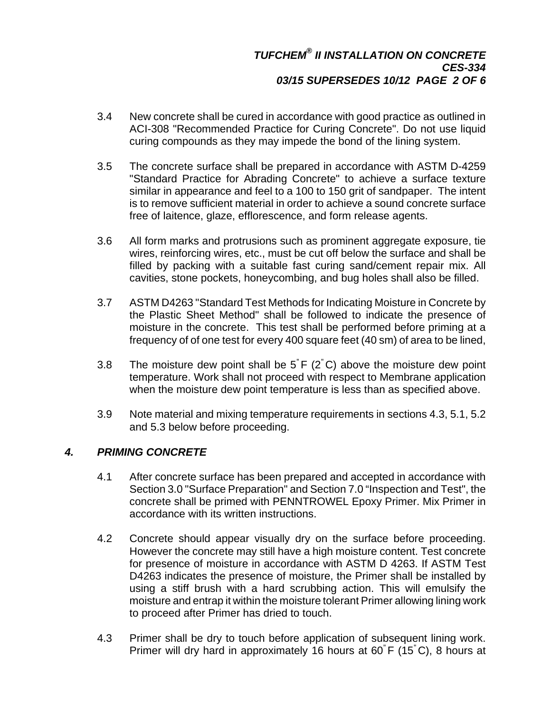- 3.4 New concrete shall be cured in accordance with good practice as outlined in ACI-308 "Recommended Practice for Curing Concrete". Do not use liquid curing compounds as they may impede the bond of the lining system.
- 3.5 The concrete surface shall be prepared in accordance with ASTM D-4259 "Standard Practice for Abrading Concrete" to achieve a surface texture similar in appearance and feel to a 100 to 150 grit of sandpaper. The intent is to remove sufficient material in order to achieve a sound concrete surface free of laitence, glaze, efflorescence, and form release agents.
- 3.6 All form marks and protrusions such as prominent aggregate exposure, tie wires, reinforcing wires, etc., must be cut off below the surface and shall be filled by packing with a suitable fast curing sand/cement repair mix. All cavities, stone pockets, honeycombing, and bug holes shall also be filled.
- 3.7 ASTM D4263 "Standard Test Methods for Indicating Moisture in Concrete by the Plastic Sheet Method" shall be followed to indicate the presence of moisture in the concrete. This test shall be performed before priming at a frequency of of one test for every 400 square feet (40 sm) of area to be lined,
- 3.8 The moisture dew point shall be 5" F (2" C) above the moisture dew point temperature. Work shall not proceed with respect to Membrane application when the moisture dew point temperature is less than as specified above.
- 3.9 Note material and mixing temperature requirements in sections 4.3, 5.1, 5.2 and 5.3 below before proceeding.

# *4. PRIMING CONCRETE*

- 4.1 After concrete surface has been prepared and accepted in accordance with Section 3.0 "Surface Preparation" and Section 7.0 "Inspection and Test", the concrete shall be primed with PENNTROWEL Epoxy Primer. Mix Primer in accordance with its written instructions.
- 4.2 Concrete should appear visually dry on the surface before proceeding. However the concrete may still have a high moisture content. Test concrete for presence of moisture in accordance with ASTM D 4263. If ASTM Test D4263 indicates the presence of moisture, the Primer shall be installed by using a stiff brush with a hard scrubbing action. This will emulsify the moisture and entrap it within the moisture tolerant Primer allowing lining work to proceed after Primer has dried to touch.
- 4.3 Primer shall be dry to touch before application of subsequent lining work. Primer will dry hard in approximately 16 hours at 60" F (15" C), 8 hours at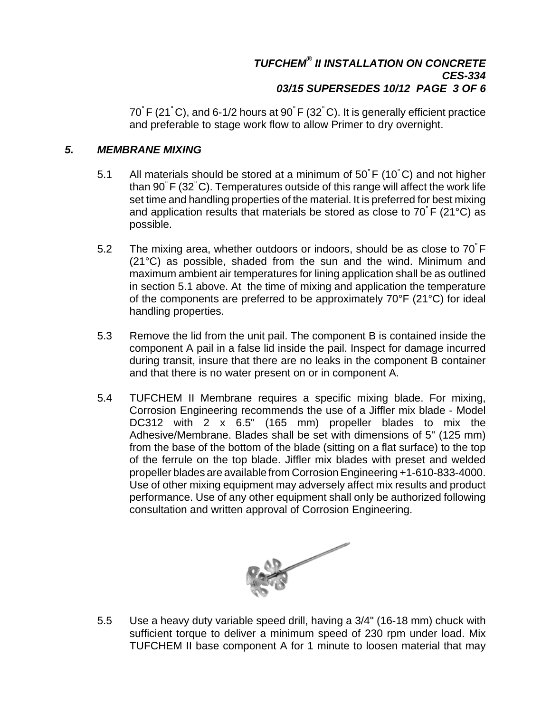#### *TUFCHEM® II INSTALLATION ON CONCRETE CES-334 03/15 SUPERSEDES 10/12 PAGE 3 OF 6*

70" F (21" C), and 6-1/2 hours at 90" F (32" C). It is generally efficient practice and preferable to stage work flow to allow Primer to dry overnight.

#### *5. MEMBRANE MIXING*

- 5.1 All materials should be stored at a minimum of 50" F (10" C) and not higher than 90" F (32" C). Temperatures outside of this range will affect the work life set time and handling properties of the material. It is preferred for best mixing and application results that materials be stored as close to 70" F (21°C) as possible.
- 5.2 The mixing area, whether outdoors or indoors, should be as close to 70" F (21°C) as possible, shaded from the sun and the wind. Minimum and maximum ambient air temperatures for lining application shall be as outlined in section 5.1 above. At the time of mixing and application the temperature of the components are preferred to be approximately 70°F (21°C) for ideal handling properties.
- 5.3 Remove the lid from the unit pail. The component B is contained inside the component A pail in a false lid inside the pail. Inspect for damage incurred during transit, insure that there are no leaks in the component B container and that there is no water present on or in component A.
- 5.4 TUFCHEM II Membrane requires a specific mixing blade. For mixing, Corrosion Engineering recommends the use of a Jiffler mix blade - Model DC312 with 2 x 6.5" (165 mm) propeller blades to mix the Adhesive/Membrane. Blades shall be set with dimensions of 5" (125 mm) from the base of the bottom of the blade (sitting on a flat surface) to the top of the ferrule on the top blade. Jiffler mix blades with preset and welded propeller blades are available from Corrosion Engineering +1-610-833-4000. Use of other mixing equipment may adversely affect mix results and product performance. Use of any other equipment shall only be authorized following consultation and written approval of Corrosion Engineering.



5.5 Use a heavy duty variable speed drill, having a 3/4" (16-18 mm) chuck with sufficient torque to deliver a minimum speed of 230 rpm under load. Mix TUFCHEM II base component A for 1 minute to loosen material that may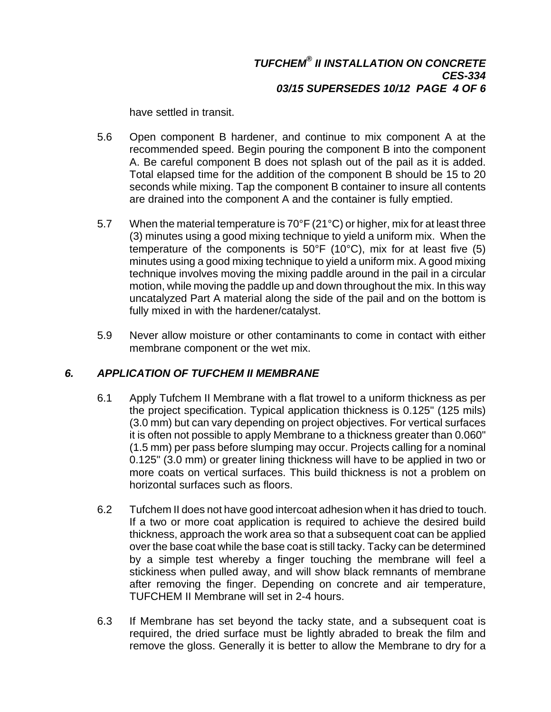#### *TUFCHEM® II INSTALLATION ON CONCRETE CES-334 03/15 SUPERSEDES 10/12 PAGE 4 OF 6*

have settled in transit.

- 5.6 Open component B hardener, and continue to mix component A at the recommended speed. Begin pouring the component B into the component A. Be careful component B does not splash out of the pail as it is added. Total elapsed time for the addition of the component B should be 15 to 20 seconds while mixing. Tap the component B container to insure all contents are drained into the component A and the container is fully emptied.
- 5.7 When the material temperature is 70°F (21°C) or higher, mix for at least three (3) minutes using a good mixing technique to yield a uniform mix. When the temperature of the components is 50°F (10°C), mix for at least five (5) minutes using a good mixing technique to yield a uniform mix. A good mixing technique involves moving the mixing paddle around in the pail in a circular motion, while moving the paddle up and down throughout the mix. In this way uncatalyzed Part A material along the side of the pail and on the bottom is fully mixed in with the hardener/catalyst.
- 5.9 Never allow moisture or other contaminants to come in contact with either membrane component or the wet mix.

# *6. APPLICATION OF TUFCHEM II MEMBRANE*

- 6.1 Apply Tufchem II Membrane with a flat trowel to a uniform thickness as per the project specification. Typical application thickness is 0.125" (125 mils) (3.0 mm) but can vary depending on project objectives. For vertical surfaces it is often not possible to apply Membrane to a thickness greater than 0.060" (1.5 mm) per pass before slumping may occur. Projects calling for a nominal 0.125" (3.0 mm) or greater lining thickness will have to be applied in two or more coats on vertical surfaces. This build thickness is not a problem on horizontal surfaces such as floors.
- 6.2 Tufchem II does not have good intercoat adhesion when it has dried to touch. If a two or more coat application is required to achieve the desired build thickness, approach the work area so that a subsequent coat can be applied over the base coat while the base coat is still tacky. Tacky can be determined by a simple test whereby a finger touching the membrane will feel a stickiness when pulled away, and will show black remnants of membrane after removing the finger. Depending on concrete and air temperature, TUFCHEM II Membrane will set in 2-4 hours.
- 6.3 If Membrane has set beyond the tacky state, and a subsequent coat is required, the dried surface must be lightly abraded to break the film and remove the gloss. Generally it is better to allow the Membrane to dry for a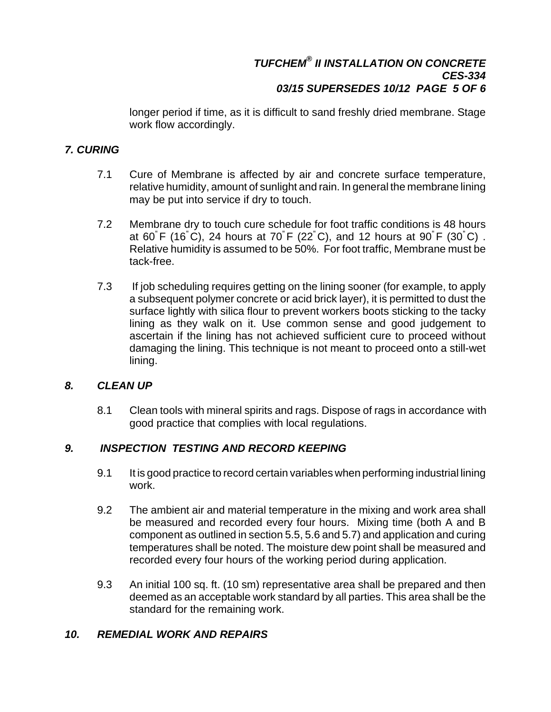# *TUFCHEM® II INSTALLATION ON CONCRETE CES-334 03/15 SUPERSEDES 10/12 PAGE 5 OF 6*

longer period if time, as it is difficult to sand freshly dried membrane. Stage work flow accordingly.

# *7. CURING*

- 7.1 Cure of Membrane is affected by air and concrete surface temperature, relative humidity, amount of sunlight and rain. In general the membrane lining may be put into service if dry to touch.
- 7.2 Membrane dry to touch cure schedule for foot traffic conditions is 48 hours at 60" F (16" C), 24 hours at 70" F (22" C), and 12 hours at 90" F (30" C) . Relative humidity is assumed to be 50%. For foot traffic, Membrane must be tack-free.
- 7.3 If job scheduling requires getting on the lining sooner (for example, to apply a subsequent polymer concrete or acid brick layer), it is permitted to dust the surface lightly with silica flour to prevent workers boots sticking to the tacky lining as they walk on it. Use common sense and good judgement to ascertain if the lining has not achieved sufficient cure to proceed without damaging the lining. This technique is not meant to proceed onto a still-wet lining.

# *8. CLEAN UP*

8.1 Clean tools with mineral spirits and rags. Dispose of rags in accordance with good practice that complies with local regulations.

# *9. INSPECTION TESTING AND RECORD KEEPING*

- 9.1 It is good practice to record certain variables when performing industrial lining work.
- 9.2 The ambient air and material temperature in the mixing and work area shall be measured and recorded every four hours. Mixing time (both A and B component as outlined in section 5.5, 5.6 and 5.7) and application and curing temperatures shall be noted. The moisture dew point shall be measured and recorded every four hours of the working period during application.
- 9.3 An initial 100 sq. ft. (10 sm) representative area shall be prepared and then deemed as an acceptable work standard by all parties. This area shall be the standard for the remaining work.

# *10. REMEDIAL WORK AND REPAIRS*